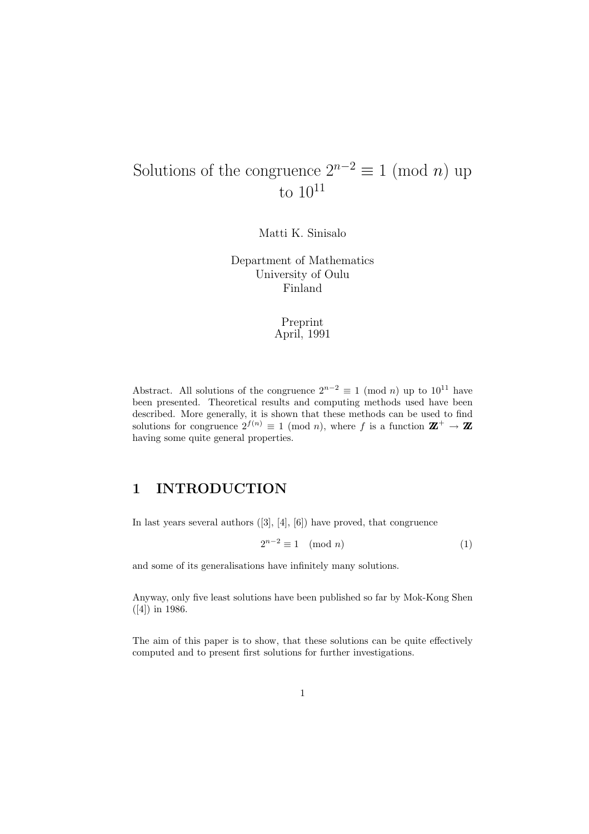# Solutions of the congruence  $2^{n-2} \equiv 1 \pmod{n}$  up to  $10^{11}$

Matti K. Sinisalo

Department of Mathematics University of Oulu Finland

#### Preprint April, 1991

Abstract. All solutions of the congruence  $2^{n-2} \equiv 1 \pmod{n}$  up to  $10^{11}$  have been presented. Theoretical results and computing methods used have been described. More generally, it is shown that these methods can be used to find solutions for congruence  $2^{f(n)} \equiv 1 \pmod{n}$ , where f is a function  $\mathbf{Z}^+ \to \mathbf{Z}$ having some quite general properties.

#### 1 INTRODUCTION

In last years several authors  $([3], [4], [6])$  have proved, that congruence

$$
2^{n-2} \equiv 1 \pmod{n} \tag{1}
$$

and some of its generalisations have infinitely many solutions.

Anyway, only five least solutions have been published so far by Mok-Kong Shen ([4]) in 1986.

The aim of this paper is to show, that these solutions can be quite effectively computed and to present first solutions for further investigations.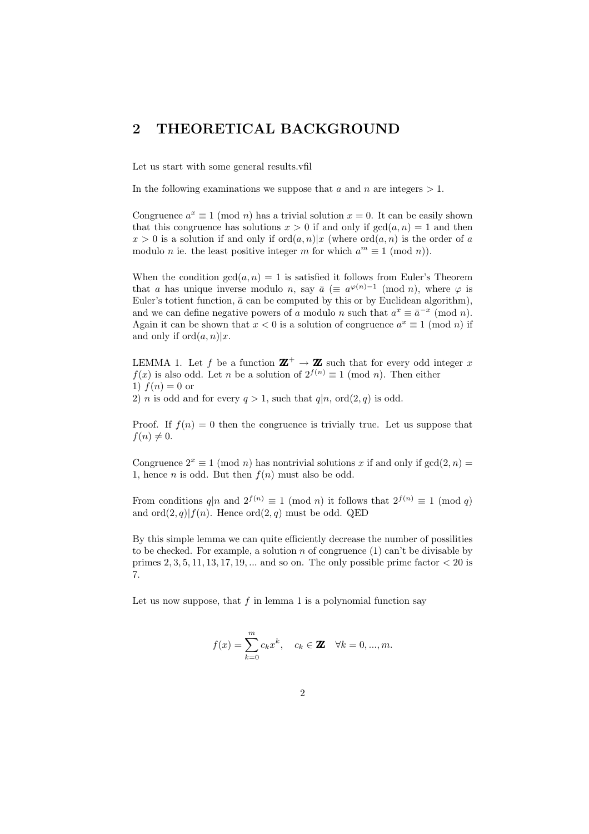### 2 THEORETICAL BACKGROUND

Let us start with some general results.vfil

In the following examinations we suppose that a and n are integers  $> 1$ .

Congruence  $a^x \equiv 1 \pmod{n}$  has a trivial solution  $x = 0$ . It can be easily shown that this congruence has solutions  $x > 0$  if and only if  $gcd(a, n) = 1$  and then  $x > 0$  is a solution if and only if  $\text{ord}(a, n)|x$  (where  $\text{ord}(a, n)$  is the order of a modulo *n* ie. the least positive integer *m* for which  $a^m \equiv 1 \pmod{n}$ .

When the condition  $gcd(a, n) = 1$  is satisfied it follows from Euler's Theorem that a has unique inverse modulo n, say  $\bar{a}$  ( $\equiv a^{\varphi(n)-1}$  (mod n), where  $\varphi$  is Euler's totient function,  $\bar{a}$  can be computed by this or by Euclidean algorithm), and we can define negative powers of a modulo n such that  $a^x \equiv \bar{a}^{-x} \pmod{n}$ . Again it can be shown that  $x < 0$  is a solution of congruence  $a^x \equiv 1 \pmod{n}$  if and only if  $ord(a, n)|x$ .

LEMMA 1. Let f be a function  $\mathbb{Z}^+ \to \mathbb{Z}$  such that for every odd integer x  $f(x)$  is also odd. Let n be a solution of  $2^{f(n)} \equiv 1 \pmod{n}$ . Then either 1)  $f(n) = 0$  or 2) *n* is odd and for every  $q > 1$ , such that  $q|n$ , ord $(2, q)$  is odd.

Proof. If  $f(n) = 0$  then the congruence is trivially true. Let us suppose that  $f(n) \neq 0.$ 

Congruence  $2^x \equiv 1 \pmod{n}$  has nontrivial solutions x if and only if  $gcd(2, n) =$ 1, hence *n* is odd. But then  $f(n)$  must also be odd.

From conditions  $q|n$  and  $2^{f(n)} \equiv 1 \pmod{n}$  it follows that  $2^{f(n)} \equiv 1 \pmod{q}$ and  $\text{ord}(2, q)|f(n)$ . Hence  $\text{ord}(2, q)$  must be odd. QED

By this simple lemma we can quite efficiently decrease the number of possilities to be checked. For example, a solution n of congruence  $(1)$  can't be divisable by primes  $2, 3, 5, 11, 13, 17, 19, \ldots$  and so on. The only possible prime factor  $\lt 20$  is 7.

Let us now suppose, that  $f$  in lemma 1 is a polynomial function say

$$
f(x) = \sum_{k=0}^{m} c_k x^k, \quad c_k \in \mathbf{Z} \quad \forall k = 0, ..., m.
$$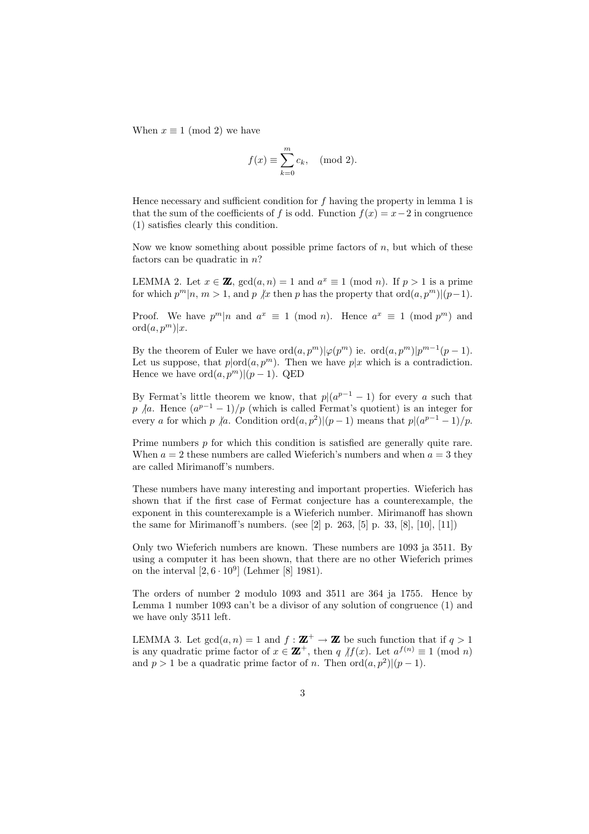When  $x \equiv 1 \pmod{2}$  we have

$$
f(x) \equiv \sum_{k=0}^{m} c_k, \pmod{2}.
$$

Hence necessary and sufficient condition for  $f$  having the property in lemma 1 is that the sum of the coefficients of f is odd. Function  $f(x) = x-2$  in congruence (1) satisfies clearly this condition.

Now we know something about possible prime factors of  $n$ , but which of these factors can be quadratic in  $n$ ?

LEMMA 2. Let  $x \in \mathbf{Z}$ ,  $gcd(a, n) = 1$  and  $a^x \equiv 1 \pmod{n}$ . If  $p > 1$  is a prime for which  $p^m|n, m > 1$ , and p  $\forall x$  then p has the property that ord $(a, p^m)|(p-1)$ .

Proof. We have  $p^m|n$  and  $a^x \equiv 1 \pmod{n}$ . Hence  $a^x \equiv 1 \pmod{p^m}$  and  $\mathrm{ord}(a,p^m)|x.$ 

By the theorem of Euler we have  $\text{ord}(a, p^m)|\varphi(p^m)$  ie.  $\text{ord}(a, p^m)|p^{m-1}(p-1)$ . Let us suppose, that  $p|ord(a,p^m)$ . Then we have  $p|x$  which is a contradiction. Hence we have  $\mathrm{ord}(a, p^m)|(p-1)$ . QED

By Fermat's little theorem we know, that  $p|(a^{p-1}-1)$  for every a such that p |a. Hence  $(a^{p-1}-1)/p$  (which is called Fermat's quotient) is an integer for every a for which p |a. Condition  $\text{ord}(a, p^2) | (p-1)$  means that  $p | (a^{p-1} - 1) / p$ .

Prime numbers p for which this condition is satisfied are generally quite rare. When  $a = 2$  these numbers are called Wieferich's numbers and when  $a = 3$  they are called Mirimanoff's numbers.

These numbers have many interesting and important properties. Wieferich has shown that if the first case of Fermat conjecture has a counterexample, the exponent in this counterexample is a Wieferich number. Mirimanoff has shown the same for Mirimanoff's numbers. (see [2] p. 263, [5] p. 33, [8], [10], [11])

Only two Wieferich numbers are known. These numbers are 1093 ja 3511. By using a computer it has been shown, that there are no other Wieferich primes on the interval  $[2, 6 \cdot 10^9]$  (Lehmer [8] 1981).

The orders of number 2 modulo 1093 and 3511 are 364 ja 1755. Hence by Lemma 1 number 1093 can't be a divisor of any solution of congruence (1) and we have only 3511 left.

LEMMA 3. Let  $gcd(a, n) = 1$  and  $f : \mathbf{Z}^+ \to \mathbf{Z}$  be such function that if  $q > 1$ is any quadratic prime factor of  $x \in \mathbf{Z}^+$ , then  $q \text{ } / \text{ } f(x)$ . Let  $a^{f(n)} \equiv 1 \pmod{n}$ and  $p > 1$  be a quadratic prime factor of n. Then  $\text{ord}(a, p^2) | (p - 1)$ .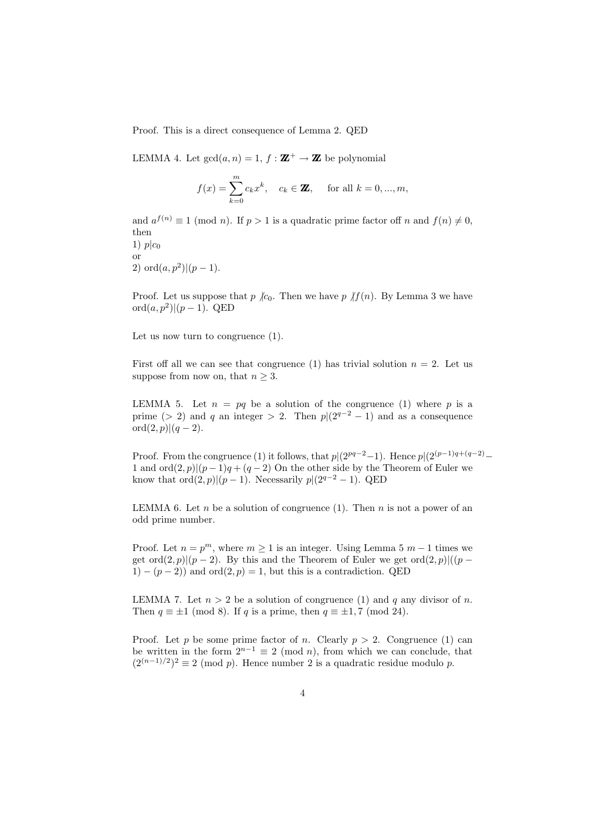Proof. This is a direct consequence of Lemma 2. QED

LEMMA 4. Let  $gcd(a, n) = 1$ ,  $f : \mathbf{Z}^+ \to \mathbf{Z}$  be polynomial

$$
f(x) = \sum_{k=0}^{m} c_k x^k
$$
,  $c_k \in \mathbf{Z}$ , for all  $k = 0, ..., m$ ,

and  $a^{f(n)} \equiv 1 \pmod{n}$ . If  $p > 1$  is a quadratic prime factor of f n and  $f(n) \neq 0$ , then

1)  $p|c_0$ or 2) ord $(a, p^2)$  $|(p-1)$ .

Proof. Let us suppose that  $p \nvert c_0$ . Then we have  $p \nvert f(n)$ . By Lemma 3 we have  $\mathrm{ord}(a, p^2) | (p-1)$ . QED

Let us now turn to congruence (1).

First off all we can see that congruence (1) has trivial solution  $n = 2$ . Let us suppose from now on, that  $n \geq 3$ .

LEMMA 5. Let  $n = pq$  be a solution of the congruence (1) where p is a prime (> 2) and q an integer > 2. Then  $p|(2^{q-2}-1)$  and as a consequence  $ord(2, p)|(q - 2).$ 

Proof. From the congruence (1) it follows, that  $p|(2^{pq-2}-1)$ . Hence  $p|(2^{(p-1)q+(q-2)}-1)$ 1 and ord $(2, p)(p-1)q + (q-2)$  On the other side by the Theorem of Euler we know that  $\text{ord}(2, p)|(p-1)$ . Necessarily  $p|(2^{q-2}-1)$ . QED

LEMMA 6. Let *n* be a solution of congruence (1). Then *n* is not a power of an odd prime number.

Proof. Let  $n = p^m$ , where  $m \ge 1$  is an integer. Using Lemma 5  $m - 1$  times we get ord $(2, p)|(p-2)$ . By this and the Theorem of Euler we get ord $(2, p)|((p - 1))$  $1)-(p-2)$  and ord $(2, p) = 1$ , but this is a contradiction. QED

LEMMA 7. Let  $n > 2$  be a solution of congruence (1) and q any divisor of n. Then  $q \equiv \pm 1 \pmod{8}$ . If q is a prime, then  $q \equiv \pm 1, 7 \pmod{24}$ .

Proof. Let p be some prime factor of n. Clearly  $p > 2$ . Congruence (1) can be written in the form  $2^{n-1} \equiv 2 \pmod{n}$ , from which we can conclude, that  $(2^{(n-1)/2})^2 \equiv 2 \pmod{p}$ . Hence number 2 is a quadratic residue modulo p.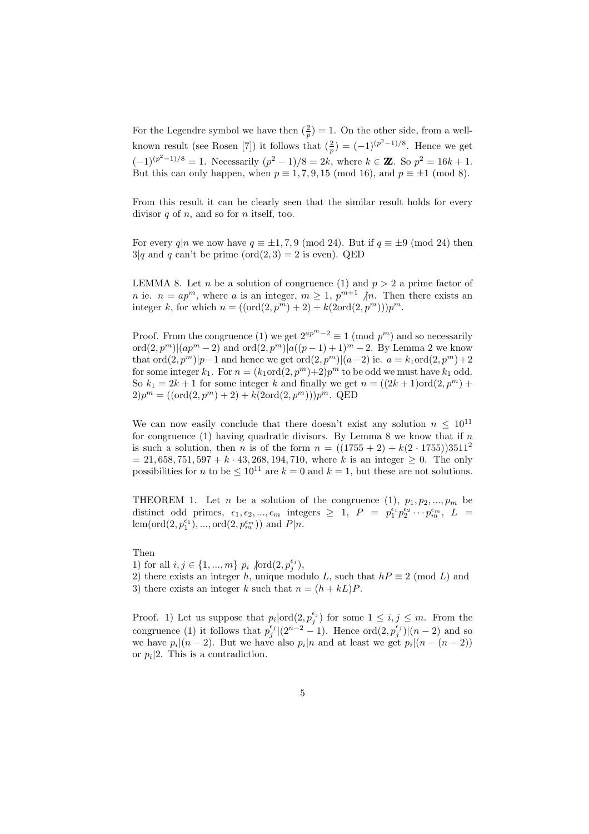For the Legendre symbol we have then  $(\frac{2}{p}) = 1$ . On the other side, from a wellknown result (see Rosen [7]) it follows that  $(\frac{2}{p}) = (-1)^{(p^2-1)/8}$ . Hence we get  $(-1)^{(p^2-1)/8} = 1$ . Necessarily  $(p^2-1)/8 = 2k$ , where  $k \in \mathbb{Z}$ . So  $p^2 = 16k + 1$ . But this can only happen, when  $p \equiv 1, 7, 9, 15 \pmod{16}$ , and  $p \equiv \pm 1 \pmod{8}$ .

From this result it can be clearly seen that the similar result holds for every divisor  $q$  of  $n$ , and so for  $n$  itself, too.

For every  $q|n$  we now have  $q \equiv \pm 1, 7, 9 \pmod{24}$ . But if  $q \equiv \pm 9 \pmod{24}$  then  $3|q$  and q can't be prime (ord(2, 3) = 2 is even). QED

LEMMA 8. Let *n* be a solution of congruence (1) and  $p > 2$  a prime factor of *n* ie.  $n = ap^m$ , where *a* is an integer,  $m \ge 1$ ,  $p^{m+1}$  /*n*. Then there exists an integer k, for which  $n = ((ord(2, p<sup>m</sup>) + 2) + k(2ord(2, p<sup>m</sup>)))p<sup>m</sup>$ .

Proof. From the congruence (1) we get  $2^{ap^{m}-2} \equiv 1 \pmod{p^{m}}$  and so necessarily ord $(2, p^m)|(ap^m - 2)$  and ord $(2, p^m)|a((p - 1) + 1)^m - 2$ . By Lemma 2 we know that  $\text{ord}(2, p^m)|p-1$  and hence we get  $\text{ord}(2, p^m)|(a-2)$  ie.  $a = k_1 \text{ord}(2, p^m) + 2$ for some integer  $k_1$ . For  $n = (k_1 \text{ord}(2, p^m)+2)p^m$  to be odd we must have  $k_1$  odd. So  $k_1 = 2k + 1$  for some integer k and finally we get  $n = ((2k + 1)ord(2, p<sup>m</sup>) +$  $2)p^m = ((ord(2, p^m) + 2) + k(2ord(2, p^m)))p^m$ . QED

We can now easily conclude that there doesn't exist any solution  $n \leq 10^{11}$ for congruence (1) having quadratic divisors. By Lemma 8 we know that if  $n$ is such a solution, then *n* is of the form  $n = ((1755 + 2) + k(2 \cdot 1755))3511^2$  $= 21,658,751,597 + k \cdot 43,268,194,710$ , where k is an integer  $\geq 0$ . The only possibilities for *n* to be  $\leq 10^{11}$  are  $k = 0$  and  $k = 1$ , but these are not solutions.

THEOREM 1. Let *n* be a solution of the congruence (1),  $p_1, p_2, ..., p_m$  be distinct odd primes,  $\epsilon_1, \epsilon_2, ..., \epsilon_m$  integers  $\geq 1$ ,  $P = p_1^{\epsilon_1} p_2^{\epsilon_2} \cdots p_m^{\epsilon_m}$ ,  $L =$  $lcm(ord(2, p_1^{\epsilon_1}), ..., ord(2, p_m^{\epsilon_m}))$  and  $P|n$ .

Then

1) for all  $i, j \in \{1, ..., m\}$   $p_i \sqrt{\text{ord}(2, p_j^{\epsilon_j})},$ 

2) there exists an integer h, unique modulo L, such that  $hP \equiv 2 \pmod{L}$  and

3) there exists an integer k such that  $n = (h + kL)P$ .

Proof. 1) Let us suppose that  $p_i | ord(2, p_j^{\epsilon_j})$  for some  $1 \leq i, j \leq m$ . From the congruence (1) it follows that  $p_j^{\epsilon_j}|(2^{n-2}-1)$ . Hence  $\text{ord}(2, p_j^{\epsilon_j})|(n-2)$  and so we have  $p_i|(n-2)$ . But we have also  $p_i|n$  and at least we get  $p_i|(n-(n-2))$ or  $p_i$ |2. This is a contradiction.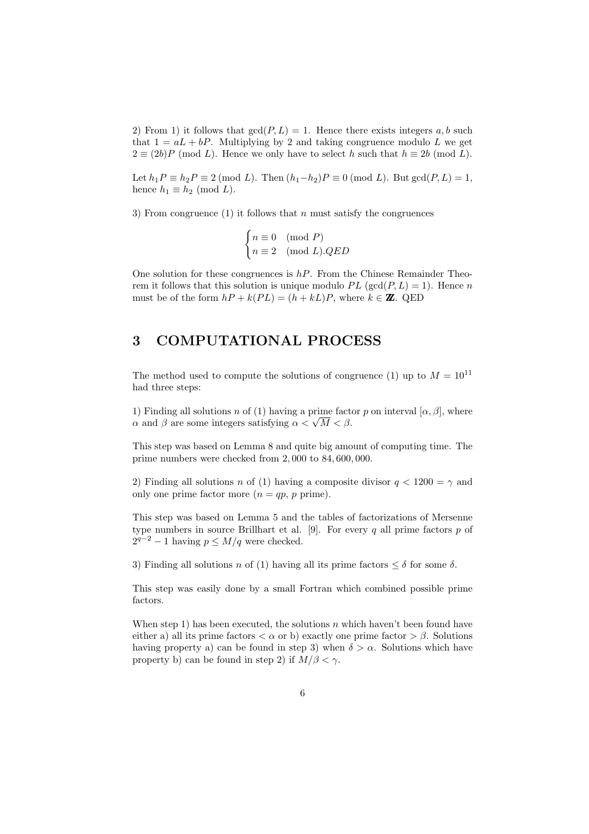2) From 1) it follows that  $gcd(P, L) = 1$ . Hence there exists integers a, b such that  $1 = aL + bP$ . Multiplying by 2 and taking congruence modulo L we get  $2 \equiv (2b)P \pmod{L}$ . Hence we only have to select h such that  $h \equiv 2b \pmod{L}$ .

Let  $h_1P \equiv h_2P \equiv 2 \pmod{L}$ . Then  $(h_1-h_2)P \equiv 0 \pmod{L}$ . But  $gcd(P, L) = 1$ , hence  $h_1 \equiv h_2 \pmod{L}$ .

3) From congruence (1) it follows that n must satisfy the congruences

$$
\begin{cases} n \equiv 0 \pmod{P} \\ n \equiv 2 \pmod{L}.QED \end{cases}
$$

One solution for these congruences is  $hP$ . From the Chinese Remainder Theorem it follows that this solution is unique modulo  $PL$  (gcd( $P, L$ ) = 1). Hence n must be of the form  $hP + k(PL) = (h + kL)P$ , where  $k \in \mathbb{Z}$ . QED

### 3 COMPUTATIONAL PROCESS

 $\overline{\phantom{a}}$ 

The method used to compute the solutions of congruence (1) up to  $M = 10^{11}$ had three steps:

1) Finding all solutions n of (1) having a prime factor p on interval  $[\alpha, \beta]$ , where 1) Finding all solutions *n* of (1) having a prime fact  $\alpha$  and  $\beta$  are some integers satisfying  $\alpha < \sqrt{M} < \beta$ .

This step was based on Lemma 8 and quite big amount of computing time. The prime numbers were checked from 2, 000 to 84, 600, 000.

2) Finding all solutions n of (1) having a composite divisor  $q < 1200 = \gamma$  and only one prime factor more  $(n = qp, p \text{ prime}).$ 

This step was based on Lemma 5 and the tables of factorizations of Mersenne type numbers in source Brillhart et al. [9]. For every q all prime factors  $p$  of  $2^{q-2} - 1$  having  $p \leq M/q$  were checked.

3) Finding all solutions n of (1) having all its prime factors  $\leq \delta$  for some  $\delta$ .

This step was easily done by a small Fortran which combined possible prime factors.

When step 1) has been executed, the solutions n which haven't been found have either a) all its prime factors  $\langle \alpha \rangle$  or b) exactly one prime factor  $\langle \beta \rangle$ . Solutions having property a) can be found in step 3) when  $\delta > \alpha$ . Solutions which have property b) can be found in step 2) if  $M/\beta < \gamma$ .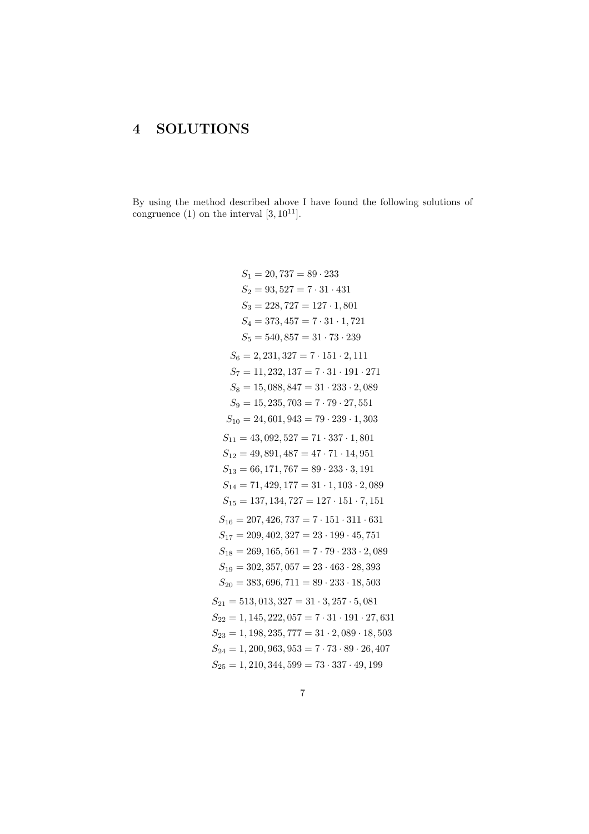#### **SOLUTIONS**  $\overline{4}$

By using the method described above I have found the following solutions of congruence (1) on the interval  $[3, 10^{11}].$ 

$$
S_1 = 20,737 = 89 \cdot 233
$$
\n
$$
S_2 = 93,527 = 7 \cdot 31 \cdot 431
$$
\n
$$
S_3 = 228,727 = 127 \cdot 1,801
$$
\n
$$
S_4 = 373,457 = 7 \cdot 31 \cdot 1,721
$$
\n
$$
S_5 = 540,857 = 31 \cdot 73 \cdot 239
$$
\n
$$
S_6 = 2,231,327 = 7 \cdot 151 \cdot 2,111
$$
\n
$$
S_7 = 11,232,137 = 7 \cdot 31 \cdot 191 \cdot 271
$$
\n
$$
S_8 = 15,088,847 = 31 \cdot 233 \cdot 2,089
$$
\n
$$
S_9 = 15,235,703 = 7 \cdot 79 \cdot 27,551
$$
\n
$$
S_{10} = 24,601,943 = 79 \cdot 239 \cdot 1,303
$$
\n
$$
S_{11} = 43,092,527 = 71 \cdot 337 \cdot 1,801
$$
\n
$$
S_{12} = 49,891,487 = 47 \cdot 71 \cdot 14,951
$$
\n
$$
S_{13} = 66,171,767 = 89 \cdot 233 \cdot 3,191
$$
\n
$$
S_{14} = 71,429,177 = 31 \cdot 1,103 \cdot 2,089
$$
\n
$$
S_{15} = 137,134,727 = 127 \cdot 151 \cdot 7,151
$$
\n
$$
S_{16} = 207,426,737 = 7 \cdot 151 \cdot 311 \cdot 631
$$
\n
$$
S_{17} = 209,402,327 = 23 \cdot 199 \cdot 45,751
$$
\n
$$
S_{18} = 269,165,561 = 7 \cdot 79 \cdot 233 \cdot 2,089
$$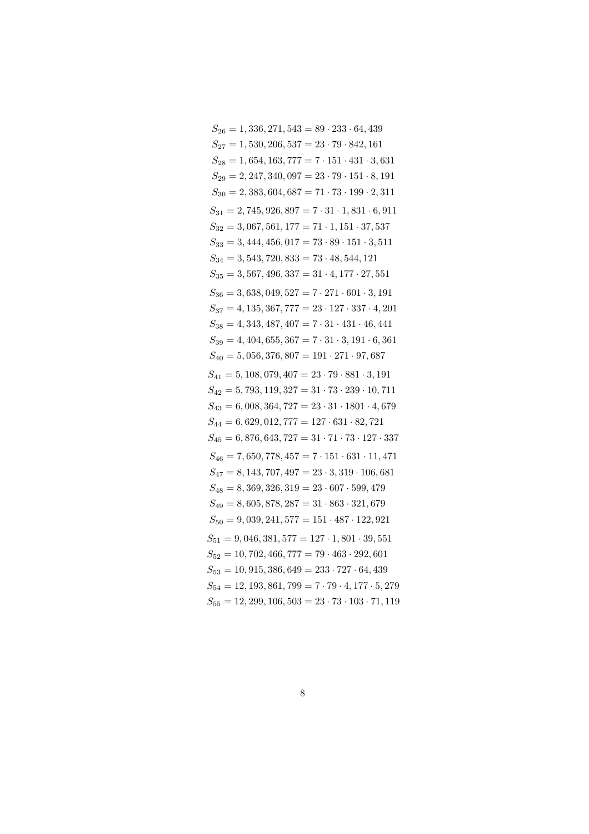| $S_{26} = 1,336,271,543 = 89 \cdot 233 \cdot 64,439$                |
|---------------------------------------------------------------------|
| $S_{27} = 1,530,206,537 = 23 \cdot 79 \cdot 842,161$                |
| $S_{28} = 1,654,163,777 = 7 \cdot 151 \cdot 431 \cdot 3,631$        |
| $S_{29} = 2,247,340,097 = 23 \cdot 79 \cdot 151 \cdot 8,191$        |
| $S_{30} = 2,383,604,687 = 71 \cdot 73 \cdot 199 \cdot 2,311$        |
| $S_{31} = 2,745,926,897 = 7 \cdot 31 \cdot 1,831 \cdot 6,911$       |
| $S_{32} = 3,067,561,177 = 71 \cdot 1,151 \cdot 37,537$              |
| $S_{33} = 3,444,456,017 = 73 \cdot 89 \cdot 151 \cdot 3,511$        |
| $S_{34} = 3,543,720,833 = 73 \cdot 48,544,121$                      |
| $S_{35} = 3,567,496,337 = 31 \cdot 4,177 \cdot 27,551$              |
| $S_{36} = 3,638,049,527 = 7 \cdot 271 \cdot 601 \cdot 3,191$        |
| $S_{37} = 4, 135, 367, 777 = 23 \cdot 127 \cdot 337 \cdot 4, 201$   |
| $S_{38} = 4,343,487,407 = 7 \cdot 31 \cdot 431 \cdot 46,441$        |
| $S_{39} = 4,404,655,367 = 7 \cdot 31 \cdot 3,191 \cdot 6,361$       |
| $S_{40} = 5,056,376,807 = 191 \cdot 271 \cdot 97,687$               |
| $S_{41} = 5,108,079,407 = 23 \cdot 79 \cdot 881 \cdot 3,191$        |
| $S_{42} = 5,793,119,327 = 31 \cdot 73 \cdot 239 \cdot 10,711$       |
| $S_{43} = 6,008,364,727 = 23 \cdot 31 \cdot 1801 \cdot 4,679$       |
| $S_{44} = 6,629,012,777 = 127 \cdot 631 \cdot 82,721$               |
| $S_{45} = 6,876,643,727 = 31 \cdot 71 \cdot 73 \cdot 127 \cdot 337$ |
| $S_{46} = 7,650,778,457 = 7 \cdot 151 \cdot 631 \cdot 11,471$       |
| $S_{47} = 8,143,707,497 = 23 \cdot 3,319 \cdot 106,681$             |
| $S_{48} = 8,369,326,319 = 23 \cdot 607 \cdot 599,479$               |
| $S_{49} = 8,605,878,287 = 31 \cdot 863 \cdot 321,679$               |
| $S_{50} = 9,039,241,577 = 151 \cdot 487 \cdot 122,921$              |
| $S_{51} = 9,046,381,577 = 127 \cdot 1,801 \cdot 39,551$             |
| $S_{52} = 10, 702, 466, 777 = 79 \cdot 463 \cdot 292, 601$          |
| $S_{53} = 10,915,386,649 = 233 \cdot 727 \cdot 64,439$              |
| $S_{54} = 12, 193, 861, 799 = 7 \cdot 79 \cdot 4, 177 \cdot 5, 279$ |
| $S_{55} = 12,299,106,503 = 23 \cdot 73 \cdot 103 \cdot 71,119$      |
|                                                                     |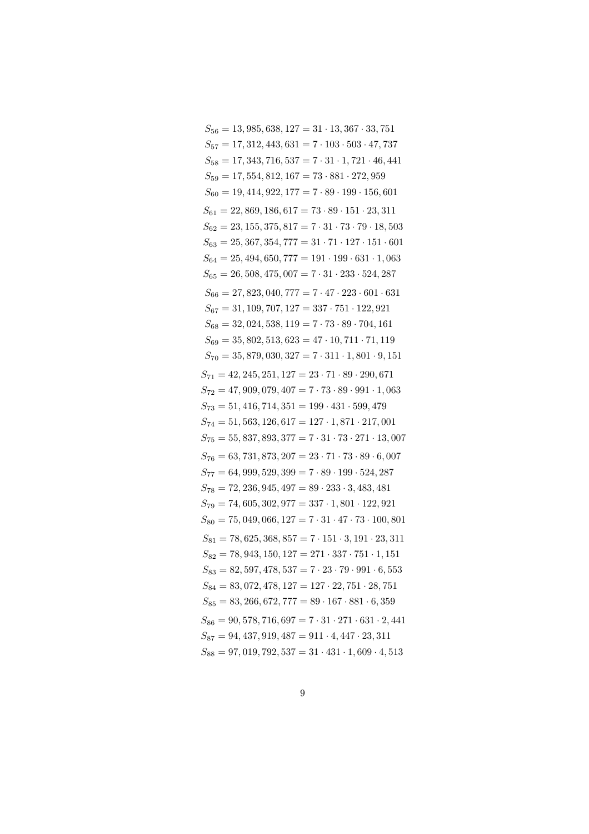$S_{56} = 13,985,638,127 = 31 \cdot 13,367 \cdot 33,751$  $S_{57} = 17,312,443,631 = 7 \cdot 103 \cdot 503 \cdot 47,737$  $S_{58} = 17,343,716,537 = 7 \cdot 31 \cdot 1,721 \cdot 46,441$  $S_{59} = 17,554,812,167 = 73 \cdot 881 \cdot 272,959$  $S_{60} = 19, 414, 922, 177 = 7 \cdot 89 \cdot 199 \cdot 156, 601$  $S_{61} = 22,869,186,617 = 73 \cdot 89 \cdot 151 \cdot 23,311$  $S_{62} = 23, 155, 375, 817 = 7 \cdot 31 \cdot 73 \cdot 79 \cdot 18, 503$  $S_{63} = 25,367,354,777 = 31 \cdot 71 \cdot 127 \cdot 151 \cdot 601$  $S_{64} = 25,494,650,777 = 191 \cdot 199 \cdot 631 \cdot 1,063$  $S_{65} = 26,508,475,007 = 7 \cdot 31 \cdot 233 \cdot 524,287$  $S_{66} = 27,823,040,777 = 7 \cdot 47 \cdot 223 \cdot 601 \cdot 631$  $S_{67} = 31, 109, 707, 127 = 337 \cdot 751 \cdot 122, 921$  $S_{68} = 32,024,538,119 = 7.73.89.704,161$  $S_{69} = 35,802,513,623 = 47 \cdot 10,711 \cdot 71,119$  $S_{70} = 35,879,030,327 = 7 \cdot 311 \cdot 1,801 \cdot 9,151$  $S_{71} = 42, 245, 251, 127 = 23 \cdot 71 \cdot 89 \cdot 290, 671$  $S_{72} = 47,909,079,407 = 7 \cdot 73 \cdot 89 \cdot 991 \cdot 1,063$  $S_{73} = 51,416,714,351 = 199 \cdot 431 \cdot 599,479$  $S_{74} = 51, 563, 126, 617 = 127 \cdot 1, 871 \cdot 217, 001$  $S_{75} = 55,837,893,377 = 7 \cdot 31 \cdot 73 \cdot 271 \cdot 13,007$  $S_{76} = 63,731,873,207 = 23 \cdot 71 \cdot 73 \cdot 89 \cdot 6,007$  $S_{77} = 64,999,529,399 = 7 \cdot 89 \cdot 199 \cdot 524,287$  $S_{78} = 72,236,945,497 = 89 \cdot 233 \cdot 3,483,481$  $S_{79} = 74,605,302,977 = 337 \cdot 1,801 \cdot 122,921$  $S_{80} = 75,049,066,127 = 7 \cdot 31 \cdot 47 \cdot 73 \cdot 100,801$  $S_{81} = 78,625,368,857 = 7 \cdot 151 \cdot 3,191 \cdot 23,311$  $S_{82} = 78,943,150,127 = 271 \cdot 337 \cdot 751 \cdot 1,151$  $S_{83} = 82,597,478,537 = 7 \cdot 23 \cdot 79 \cdot 991 \cdot 6,553$  $S_{84} = 83,072,478,127 = 127 \cdot 22,751 \cdot 28,751$  $S_{85} = 83,266,672,777 = 89 \cdot 167 \cdot 881 \cdot 6,359$  $S_{86} = 90,578,716,697 = 7 \cdot 31 \cdot 271 \cdot 631 \cdot 2,441$  $S_{87} = 94,437,919,487 = 911 \cdot 4,447 \cdot 23,311$  $S_{88} = 97,019,792,537 = 31 \cdot 431 \cdot 1,609 \cdot 4,513$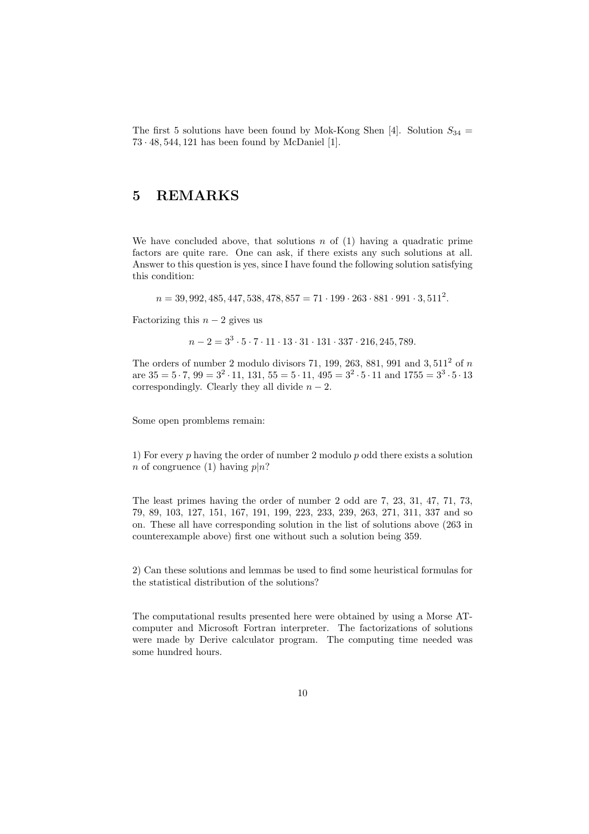The first 5 solutions have been found by Mok-Kong Shen [4]. Solution  $S_{34}$  = 73 · 48, 544, 121 has been found by McDaniel [1].

## 5 REMARKS

We have concluded above, that solutions n of  $(1)$  having a quadratic prime factors are quite rare. One can ask, if there exists any such solutions at all. Answer to this question is yes, since I have found the following solution satisfying this condition:

 $n = 39,992,485,447,538,478,857 = 71 \cdot 199 \cdot 263 \cdot 881 \cdot 991 \cdot 3,511^2.$ 

Factorizing this  $n-2$  gives us

 $n-2=3^3\cdot 5\cdot 7\cdot 11\cdot 13\cdot 31\cdot 131\cdot 337\cdot 216, 245, 789.$ 

The orders of number 2 modulo divisors 71, 199, 263, 881, 991 and 3,  $511<sup>2</sup>$  of n are  $35 = 5 \cdot 7$ ,  $99 = 3^2 \cdot 11$ ,  $131$ ,  $55 = 5 \cdot 11$ ,  $495 = 3^2 \cdot 5 \cdot 11$  and  $1755 = 3^3 \cdot 5 \cdot 13$ correspondingly. Clearly they all divide  $n-2$ .

Some open promblems remain:

1) For every  $p$  having the order of number 2 modulo  $p$  odd there exists a solution n of congruence (1) having  $p|n$ ?

The least primes having the order of number 2 odd are 7, 23, 31, 47, 71, 73, 79, 89, 103, 127, 151, 167, 191, 199, 223, 233, 239, 263, 271, 311, 337 and so on. These all have corresponding solution in the list of solutions above (263 in counterexample above) first one without such a solution being 359.

2) Can these solutions and lemmas be used to find some heuristical formulas for the statistical distribution of the solutions?

The computational results presented here were obtained by using a Morse ATcomputer and Microsoft Fortran interpreter. The factorizations of solutions were made by Derive calculator program. The computing time needed was some hundred hours.